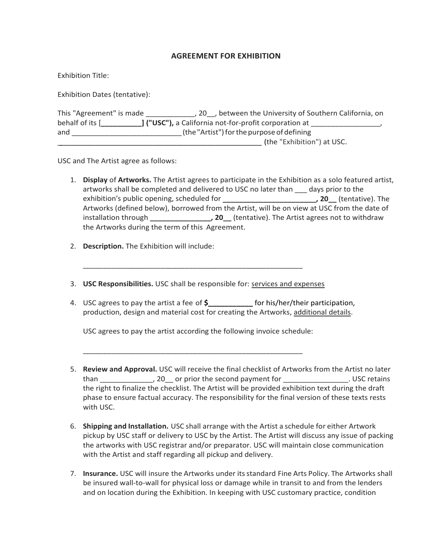# **AGREEMENT FOR EXHIBITION**

Exhibition Title:

Exhibition Dates (tentative):

| This "Agreement" is made | 20, between the University of Southern California, on         |
|--------------------------|---------------------------------------------------------------|
| behalf of its [          | <b>] ("USC")</b> , a California not-for-profit corporation at |
| and                      | (the "Artist") for the purpose of defining                    |
|                          | (the "Exhibition") at USC.                                    |

USC and The Artist agree as follows:

- 1. **Display** of **Artworks.** The Artist agrees to participate in the Exhibition as a solo featured artist, artworks shall be completed and delivered to USC no later than \_\_\_ days prior to the exhibition's public opening, scheduled for **\_\_\_\_\_\_\_\_\_\_\_\_\_\_\_\_\_\_\_\_\_\_\_, 20\_\_** (tentative). The Artworks (defined below), borrowed from the Artist, will be on view at USC from the date of installation through **\_\_\_\_\_\_\_\_\_\_\_\_\_\_\_, 20\_\_** (tentative). The Artist agrees not to withdraw the Artworks during the term of this Agreement.
- 2. **Description.** The Exhibition will include:
- 3. **USC Responsibilities.** USC shall be responsible for: services and expenses

\_\_\_\_\_\_\_\_\_\_\_\_\_\_\_\_\_\_\_\_\_\_\_\_\_\_\_\_\_\_\_\_\_\_\_\_\_\_\_\_\_\_\_\_\_\_\_\_\_\_\_\_\_\_

4. USC agrees to pay the artist a fee of **\$\_\_\_\_\_\_\_\_\_\_\_** for his/her/their participation, production, design and material cost for creating the Artworks, additional details.

USC agrees to pay the artist according the following invoice schedule:

\_\_\_\_\_\_\_\_\_\_\_\_\_\_\_\_\_\_\_\_\_\_\_\_\_\_\_\_\_\_\_\_\_\_\_\_\_\_\_\_\_\_\_\_\_\_\_\_\_\_\_\_\_\_

- 5. **Review and Approval.** USC will receive the final checklist of Artworks from the Artist no later than than the second payment for the second payment for the second payment for the second payment for the second payment for the second payment for the second payment for the second payment for the second payment for the s the right to finalize the checklist. The Artist will be provided exhibition text during the draft phase to ensure factual accuracy. The responsibility for the final version of these texts rests with USC.
- 6. **Shipping and Installation.** USC shall arrange with the Artist a schedule for either Artwork pickup by USC staff or delivery to USC by the Artist. The Artist will discuss any issue of packing the artworks with USC registrar and/or preparator. USC will maintain close communication with the Artist and staff regarding all pickup and delivery.
- 7. **Insurance.** USC will insure the Artworks under itsstandard Fine Arts Policy. The Artworks shall be insured wall-to-wall for physical loss or damage while in transit to and from the lenders and on location during the Exhibition. In keeping with USC customary practice, condition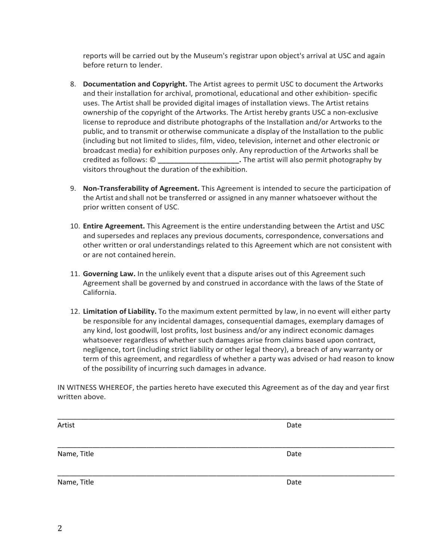reports will be carried out by the Museum's registrar upon object's arrival at USC and again before return to lender.

- 8. **Documentation and Copyright.** The Artist agrees to permit USC to document the Artworks and their installation for archival, promotional, educational and other exhibition- specific uses. The Artist shall be provided digital images of installation views. The Artist retains ownership of the copyright of the Artworks. The Artist hereby grants USC a non-exclusive license to reproduce and distribute photographs of the Installation and/or Artworks to the public, and to transmit or otherwise communicate a display of the Installation to the public (including but not limited to slides, film, video, television, internet and other electronic or broadcast media) for exhibition purposes only. Any reproduction of the Artworks shall be credited as follows: © **\_\_\_\_\_\_\_\_\_\_\_\_\_\_\_\_\_\_\_\_.** The artist will also permit photography by visitors throughout the duration of the exhibition.
- 9. **Non-Transferability of Agreement.** This Agreement is intended to secure the participation of the Artist and shall not be transferred or assigned in any manner whatsoever without the prior written consent of USC.
- 10. **Entire Agreement.** This Agreement is the entire understanding between the Artist and USC and supersedes and replaces any previous documents, correspondence, conversations and other written or oral understandings related to this Agreement which are not consistent with or are not contained herein.
- 11. **Governing Law.** In the unlikely event that a dispute arises out of this Agreement such Agreement shall be governed by and construed in accordance with the laws of the State of California.
- 12. **Limitation of Liability.** To the maximum extent permitted by law, in no event will either party be responsible for any incidental damages, consequential damages, exemplary damages of any kind, lost goodwill, lost profits, lost business and/or any indirect economic damages whatsoever regardless of whether such damages arise from claims based upon contract, negligence, tort (including strict liability or other legal theory), a breach of any warranty or term of this agreement, and regardless of whether a party was advised or had reason to know of the possibility of incurring such damages in advance.

IN WITNESS WHEREOF, the parties hereto have executed this Agreement as of the day and year first written above.

| Artist      | Date |
|-------------|------|
|             |      |
| Name, Title | Date |
|             |      |
| Name, Title | Date |